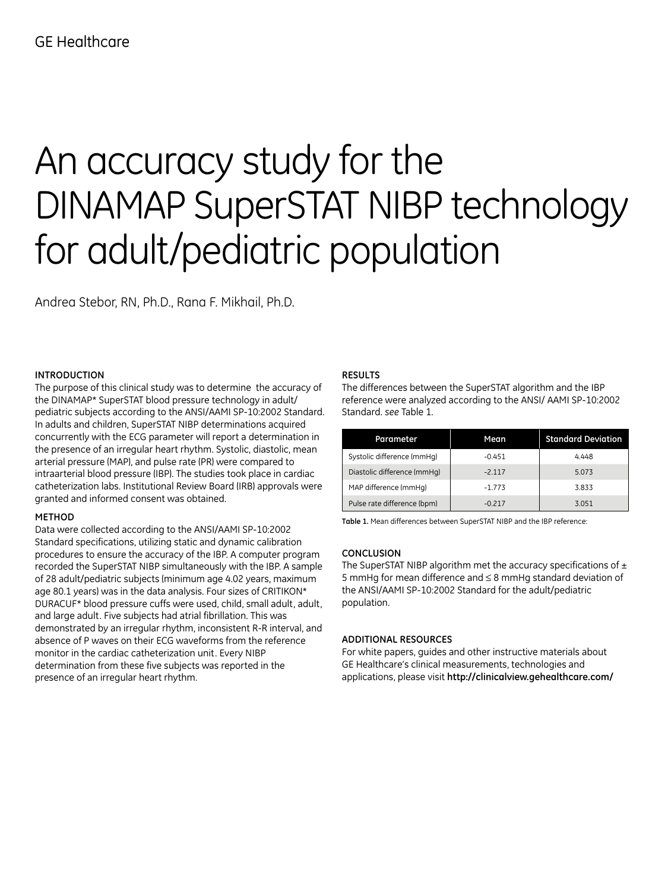# An accuracy study for the DINAMAP SuperSTAT NIBP technology for adult/pediatric population

Andrea Stebor, RN, Ph.D., Rana F. Mikhail, Ph.D.

# **INTRODUCTION**

The purpose of this clinical study was to determine the accuracy of the DINAMAP\* SuperSTAT blood pressure technology in adult/ pediatric subjects according to the ANSI/AAMI SP-10:2002 Standard. In adults and children, SuperSTAT NIBP determinations acquired concurrently with the ECG parameter will report a determination in the presence of an irregular heart rhythm. Systolic, diastolic, mean arterial pressure (MAP), and pulse rate (PR) were compared to intraarterial blood pressure (IBP). The studies took place in cardiac catheterization labs. Institutional Review Board (IRB) approvals were granted and informed consent was obtained.

## **METHOD**

Data were collected according to the ANSI/AAMI SP-10:2002 Standard specifications, utilizing static and dynamic calibration procedures to ensure the accuracy of the IBP. A computer program recorded the SuperSTAT NIBP simultaneously with the IBP. A sample of 28 adult/pediatric subjects (minimum age 4.02 years, maximum age 80.1 years) was in the data analysis. Four sizes of CRITIKON\* DURACUF\* blood pressure cuffs were used, child, small adult, adult, and large adult. Five subjects had atrial fibrillation. This was demonstrated by an irregular rhythm, inconsistent R-R interval, and absence of P waves on their ECG waveforms from the reference monitor in the cardiac catheterization unit. Every NIBP determination from these five subjects was reported in the presence of an irregular heart rhythm.

### **RESULTS**

The differences between the SuperSTAT algorithm and the IBP reference were analyzed according to the ANSI/ AAMI SP-10:2002 Standard. *see* Table 1.

| Parameter                   | Mean.    | <b>Standard Deviation</b> |
|-----------------------------|----------|---------------------------|
| Systolic difference (mmHg)  | $-0.451$ | 4.448                     |
| Diastolic difference (mmHq) | $-2.117$ | 5.073                     |
| MAP difference (mmHg)       | $-1.773$ | 3.833                     |
| Pulse rate difference (bpm) | $-0.217$ | 3.051                     |

**Table 1.** Mean differences between SuperSTAT NIBP and the IBP reference:

#### **CONCLUSION**

The SuperSTAT NIBP algorithm met the accuracy specifications of  $\pm$ 5 mmHg for mean difference and ≤ 8 mmHg standard deviation of the ANSI/AAMI SP-10:2002 Standard for the adult/pediatric population.

#### **ADDITIONAL RESOURCES**

For white papers, guides and other instructive materials about GE Healthcare's clinical measurements, technologies and applications, please visit **http://clinicalview.gehealthcare.com/**